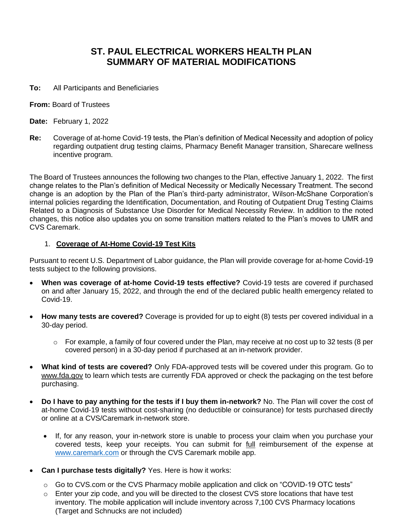# **ST. PAUL ELECTRICAL WORKERS HEALTH PLAN SUMMARY OF MATERIAL MODIFICATIONS**

- **To:** All Participants and Beneficiaries
- **From:** Board of Trustees
- **Date:** February 1, 2022
- **Re:** Coverage of at-home Covid-19 tests, the Plan's definition of Medical Necessity and adoption of policy regarding outpatient drug testing claims, Pharmacy Benefit Manager transition, Sharecare wellness incentive program.

The Board of Trustees announces the following two changes to the Plan, effective January 1, 2022. The first change relates to the Plan's definition of Medical Necessity or Medically Necessary Treatment. The second change is an adoption by the Plan of the Plan's third-party administrator, Wilson-McShane Corporation's internal policies regarding the Identification, Documentation, and Routing of Outpatient Drug Testing Claims Related to a Diagnosis of Substance Use Disorder for Medical Necessity Review. In addition to the noted changes, this notice also updates you on some transition matters related to the Plan's moves to UMR and CVS Caremark.

#### 1. **Coverage of At-Home Covid-19 Test Kits**

Pursuant to recent U.S. Department of Labor guidance, the Plan will provide coverage for at-home Covid-19 tests subject to the following provisions.

- **When was coverage of at-home Covid-19 tests effective?** Covid-19 tests are covered if purchased on and after January 15, 2022, and through the end of the declared public health emergency related to Covid-19.
- **How many tests are covered?** Coverage is provided for up to eight (8) tests per covered individual in a 30-day period.
	- $\circ$  For example, a family of four covered under the Plan, may receive at no cost up to 32 tests (8 per covered person) in a 30-day period if purchased at an in-network provider.
- **What kind of tests are covered?** Only FDA-approved tests will be covered under this program. Go to www.fda.gov to learn which tests are currently FDA approved or check the packaging on the test before purchasing.
- **Do I have to pay anything for the tests if I buy them in-network?** No. The Plan will cover the cost of at-home Covid-19 tests without cost-sharing (no deductible or coinsurance) for tests purchased directly or online at a CVS/Caremark in-network store.
	- If, for any reason, your in-network store is unable to process your claim when you purchase your covered tests, keep your receipts. You can submit for full reimbursement of the expense at [www.caremark.com](http://www.caremark.com/) or through the CVS Caremark mobile app.
- **Can I purchase tests digitally?** Yes. Here is how it works:
	- o Go to CVS.com or the CVS Pharmacy mobile application and click on "COVID-19 OTC tests"
	- o Enter your zip code, and you will be directed to the closest CVS store locations that have test inventory. The mobile application will include inventory across 7,100 CVS Pharmacy locations (Target and Schnucks are not included)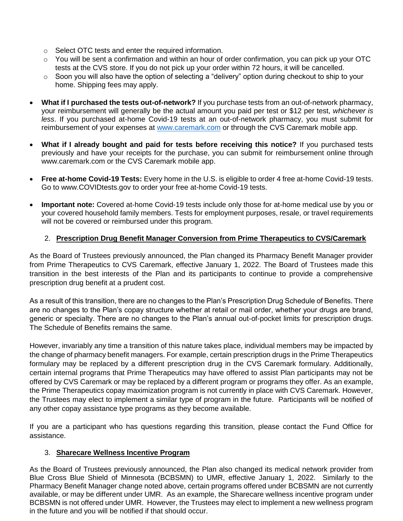- o Select OTC tests and enter the required information.
- $\circ$  You will be sent a confirmation and within an hour of order confirmation, you can pick up your OTC tests at the CVS store. If you do not pick up your order within 72 hours, it will be cancelled.
- o Soon you will also have the option of selecting a "delivery" option during checkout to ship to your home. Shipping fees may apply.
- **What if I purchased the tests out-of-network?** If you purchase tests from an out-of-network pharmacy, your reimbursement will generally be the actual amount you paid per test or \$12 per test, *whichever is less*. If you purchased at-home Covid-19 tests at an out-of-network pharmacy, you must submit for reimbursement of your expenses at [www.caremark.com](http://www.caremark.com/) or through the CVS Caremark mobile app.
- **What if I already bought and paid for tests before receiving this notice?** If you purchased tests previously and have your receipts for the purchase, you can submit for reimbursement online through www.caremark.com or the CVS Caremark mobile app.
- **Free at-home Covid-19 Tests:** Every home in the U.S. is eligible to order 4 free at-home Covid-19 tests. Go to www.COVIDtests.gov to order your free at-home Covid-19 tests.
- **Important note:** Covered at-home Covid-19 tests include only those for at-home medical use by you or your covered household family members. Tests for employment purposes, resale, or travel requirements will not be covered or reimbursed under this program.

## 2. **Prescription Drug Benefit Manager Conversion from Prime Therapeutics to CVS/Caremark**

As the Board of Trustees previously announced, the Plan changed its Pharmacy Benefit Manager provider from Prime Therapeutics to CVS Caremark, effective January 1, 2022. The Board of Trustees made this transition in the best interests of the Plan and its participants to continue to provide a comprehensive prescription drug benefit at a prudent cost.

As a result of this transition, there are no changes to the Plan's Prescription Drug Schedule of Benefits. There are no changes to the Plan's copay structure whether at retail or mail order, whether your drugs are brand, generic or specialty. There are no changes to the Plan's annual out-of-pocket limits for prescription drugs. The Schedule of Benefits remains the same.

However, invariably any time a transition of this nature takes place, individual members may be impacted by the change of pharmacy benefit managers. For example, certain prescription drugs in the Prime Therapeutics formulary may be replaced by a different prescription drug in the CVS Caremark formulary. Additionally, certain internal programs that Prime Therapeutics may have offered to assist Plan participants may not be offered by CVS Caremark or may be replaced by a different program or programs they offer. As an example, the Prime Therapeutics copay maximization program is not currently in place with CVS Caremark. However, the Trustees may elect to implement a similar type of program in the future. Participants will be notified of any other copay assistance type programs as they become available.

If you are a participant who has questions regarding this transition, please contact the Fund Office for assistance.

### 3. **Sharecare Wellness Incentive Program**

As the Board of Trustees previously announced, the Plan also changed its medical network provider from Blue Cross Blue Shield of Minnesota (BCBSMN) to UMR, effective January 1, 2022. Similarly to the Pharmacy Benefit Manager change noted above, certain programs offered under BCBSMN are not currently available, or may be different under UMR. As an example, the Sharecare wellness incentive program under BCBSMN is not offered under UMR. However, the Trustees may elect to implement a new wellness program in the future and you will be notified if that should occur.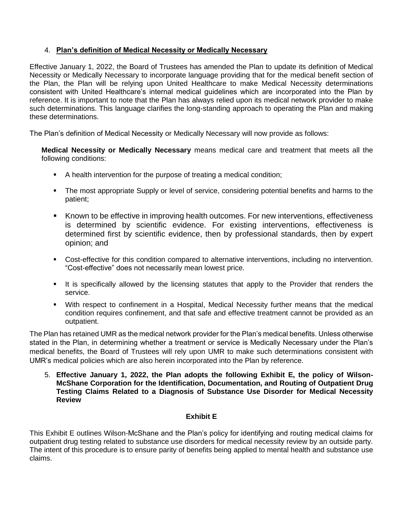## 4. **Plan's definition of Medical Necessity or Medically Necessary**

Effective January 1, 2022, the Board of Trustees has amended the Plan to update its definition of Medical Necessity or Medically Necessary to incorporate language providing that for the medical benefit section of the Plan, the Plan will be relying upon United Healthcare to make Medical Necessity determinations consistent with United Healthcare's internal medical guidelines which are incorporated into the Plan by reference. It is important to note that the Plan has always relied upon its medical network provider to make such determinations. This language clarifies the long-standing approach to operating the Plan and making these determinations.

The Plan's definition of Medical Necessity or Medically Necessary will now provide as follows:

**Medical Necessity or Medically Necessary** means medical care and treatment that meets all the following conditions:

- A health intervention for the purpose of treating a medical condition;
- The most appropriate Supply or level of service, considering potential benefits and harms to the patient;
- Known to be effective in improving health outcomes. For new interventions, effectiveness is determined by scientific evidence. For existing interventions, effectiveness is determined first by scientific evidence, then by professional standards, then by expert opinion; and
- Cost-effective for this condition compared to alternative interventions, including no intervention. "Cost-effective" does not necessarily mean lowest price.
- It is specifically allowed by the licensing statutes that apply to the Provider that renders the service.
- With respect to confinement in a Hospital, Medical Necessity further means that the medical condition requires confinement, and that safe and effective treatment cannot be provided as an outpatient.

The Plan has retained UMR as the medical network provider for the Plan's medical benefits. Unless otherwise stated in the Plan, in determining whether a treatment or service is Medically Necessary under the Plan's medical benefits, the Board of Trustees will rely upon UMR to make such determinations consistent with UMR's medical policies which are also herein incorporated into the Plan by reference.

5. **Effective January 1, 2022, the Plan adopts the following Exhibit E, the policy of Wilson-McShane Corporation for the Identification, Documentation, and Routing of Outpatient Drug Testing Claims Related to a Diagnosis of Substance Use Disorder for Medical Necessity Review**

## **Exhibit E**

This Exhibit E outlines Wilson-McShane and the Plan's policy for identifying and routing medical claims for outpatient drug testing related to substance use disorders for medical necessity review by an outside party. The intent of this procedure is to ensure parity of benefits being applied to mental health and substance use claims.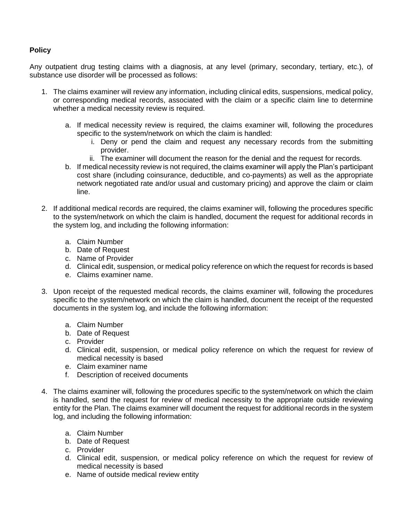## **Policy**

Any outpatient drug testing claims with a diagnosis, at any level (primary, secondary, tertiary, etc.), of substance use disorder will be processed as follows:

- 1. The claims examiner will review any information, including clinical edits, suspensions, medical policy, or corresponding medical records, associated with the claim or a specific claim line to determine whether a medical necessity review is required.
	- a. If medical necessity review is required, the claims examiner will, following the procedures specific to the system/network on which the claim is handled:
		- i. Deny or pend the claim and request any necessary records from the submitting provider.
		- ii. The examiner will document the reason for the denial and the request for records.
	- b. If medical necessity review is not required, the claims examiner will apply the Plan's participant cost share (including coinsurance, deductible, and co-payments) as well as the appropriate network negotiated rate and/or usual and customary pricing) and approve the claim or claim line.
- 2. If additional medical records are required, the claims examiner will, following the procedures specific to the system/network on which the claim is handled, document the request for additional records in the system log, and including the following information:
	- a. Claim Number
	- b. Date of Request
	- c. Name of Provider
	- d. Clinical edit, suspension, or medical policy reference on which the request for records is based
	- e. Claims examiner name.
- 3. Upon receipt of the requested medical records, the claims examiner will, following the procedures specific to the system/network on which the claim is handled, document the receipt of the requested documents in the system log, and include the following information:
	- a. Claim Number
	- b. Date of Request
	- c. Provider
	- d. Clinical edit, suspension, or medical policy reference on which the request for review of medical necessity is based
	- e. Claim examiner name
	- f. Description of received documents
- 4. The claims examiner will, following the procedures specific to the system/network on which the claim is handled, send the request for review of medical necessity to the appropriate outside reviewing entity for the Plan. The claims examiner will document the request for additional records in the system log, and including the following information:
	- a. Claim Number
	- b. Date of Request
	- c. Provider
	- d. Clinical edit, suspension, or medical policy reference on which the request for review of medical necessity is based
	- e. Name of outside medical review entity